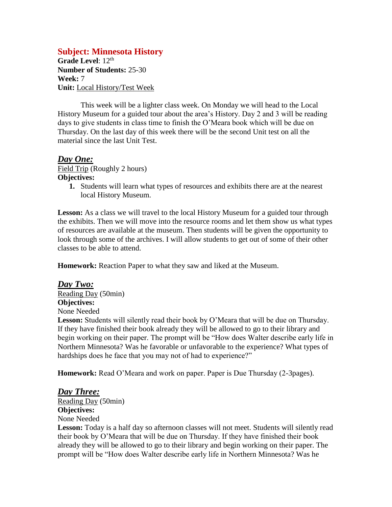## **Subject: Minnesota History**

Grade Level: 12<sup>th</sup> **Number of Students:** 25-30 **Week:** 7 **Unit:** Local History/Test Week

This week will be a lighter class week. On Monday we will head to the Local History Museum for a guided tour about the area's History. Day 2 and 3 will be reading days to give students in class time to finish the O'Meara book which will be due on Thursday. On the last day of this week there will be the second Unit test on all the material since the last Unit Test.

## *Day One:*

Field Trip (Roughly 2 hours) **Objectives:**

**1.** Students will learn what types of resources and exhibits there are at the nearest local History Museum.

**Lesson:** As a class we will travel to the local History Museum for a guided tour through the exhibits. Then we will move into the resource rooms and let them show us what types of resources are available at the museum. Then students will be given the opportunity to look through some of the archives. I will allow students to get out of some of their other classes to be able to attend.

**Homework:** Reaction Paper to what they saw and liked at the Museum.

*Day Two:* Reading Day (50min) **Objectives:** None Needed

Lesson: Students will silently read their book by O'Meara that will be due on Thursday. If they have finished their book already they will be allowed to go to their library and begin working on their paper. The prompt will be "How does Walter describe early life in Northern Minnesota? Was he favorable or unfavorable to the experience? What types of hardships does he face that you may not of had to experience?"

**Homework:** Read O'Meara and work on paper. Paper is Due Thursday (2-3pages).

## *Day Three:*

Reading Day (50min) **Objectives:** None Needed

Lesson: Today is a half day so afternoon classes will not meet. Students will silently read their book by O'Meara that will be due on Thursday. If they have finished their book already they will be allowed to go to their library and begin working on their paper. The prompt will be "How does Walter describe early life in Northern Minnesota? Was he